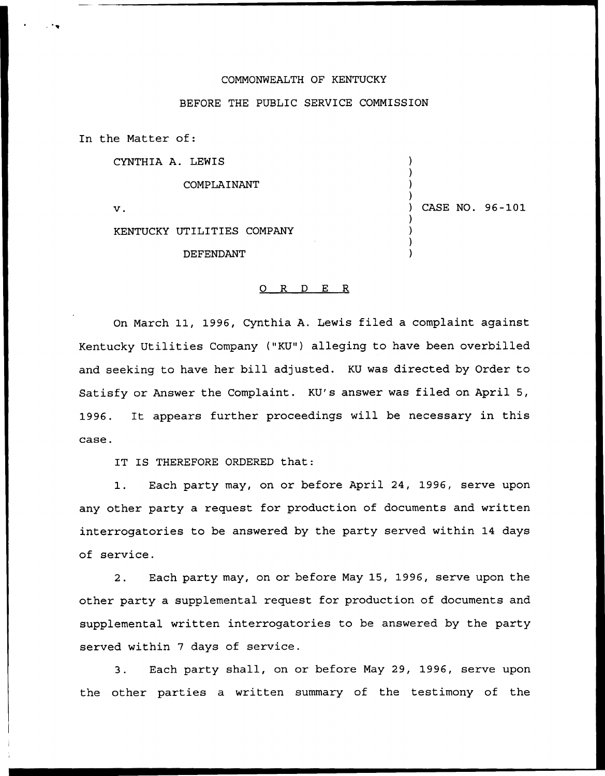## COMMONWEALTH OF KENTUCKY

## BEFORE THE PUBLIC SERVICE COMMISSION

In the Matter of:

CYNTHIA A. LEWIS

COMPLAINANT

 $\mathbf v$ .

) CASE NO. 96-101

) ) ) )

) ) ) )

KENTUCKY UTILITIES COMPANY

DEFENDANT

## 0 R <sup>D</sup> E R

On March 11, 1996, Cynthia A. Lewis filed a complaint against Kentucky Utilities Company ("KU") alleging to have been overbilled and seeking to have her bill adjusted. KU was directed by Order to Satisfy or Answer the Complaint. KU's answer was filed on April 5, 1996. It appears further proceedings will be necessary in this case.

IT IS THEREFORE ORDERED that:

1. Each party may, on or before April 24, 1996, serve upon any other party a request for production of documents and written interrogatories to be answered by the party served within 14 days of service.

2. Each party may, on or before May 15, 1996, serve upon the other party a supplemental request for production of documents and supplemental written interrogatories to be answered by the party served within 7 days of service.

3. Each party shall, on or before May 29, 1996, serve upon the other parties a written summary of the testimony of the